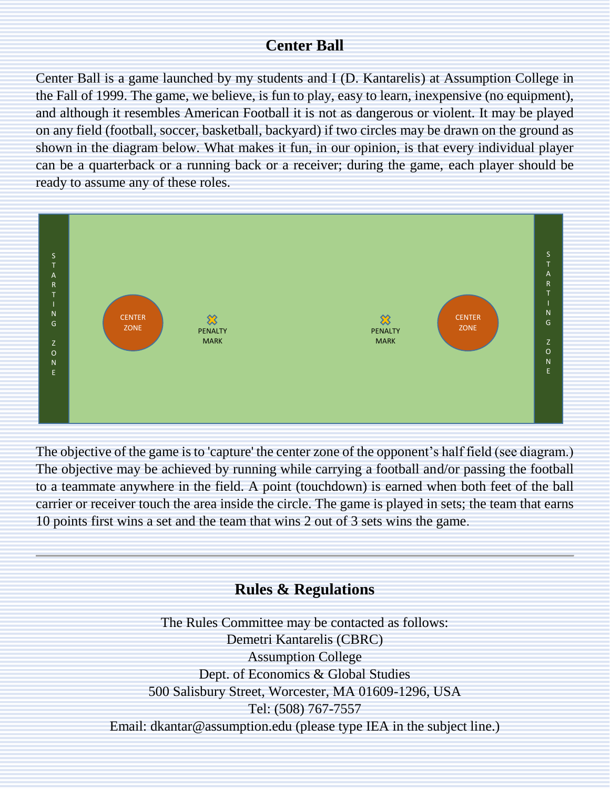## **Center Ball**

Center Ball is a game launched by my students and I (D. Kantarelis) at Assumption College in the Fall of 1999. The game, we believe, is fun to play, easy to learn, inexpensive (no equipment), and although it resembles American Football it is not as dangerous or violent. It may be played on any field (football, soccer, basketball, backyard) if two circles may be drawn on the ground as shown in the diagram below. What makes it fun, in our opinion, is that every individual player can be a quarterback or a running back or a receiver; during the game, each player should be ready to assume any of these roles.



The objective of the game is to 'capture' the center zone of the opponent's half field (see diagram.) The objective may be achieved by running while carrying a football and/or passing the football to a teammate anywhere in the field. A point (touchdown) is earned when both feet of the ball carrier or receiver touch the area inside the circle. The game is played in sets; the team that earns 10 points first wins a set and the team that wins 2 out of 3 sets wins the game.

## **Rules & Regulations**

The Rules Committee may be contacted as follows: Demetri Kantarelis (CBRC) Assumption College Dept. of Economics & Global Studies 500 Salisbury Street, Worcester, MA 01609-1296, USA Tel: (508) 767-7557 Email: dkantar@assumption.edu (please type IEA in the subject line.)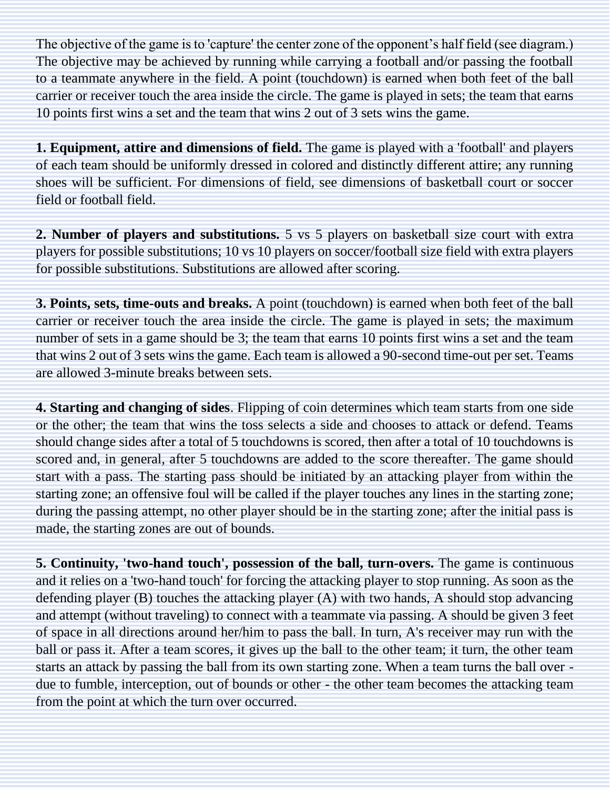The objective of the game is to 'capture' the center zone of the opponent's half field (see diagram.) The objective may be achieved by running while carrying a football and/or passing the football to a teammate anywhere in the field. A point (touchdown) is earned when both feet of the ball carrier or receiver touch the area inside the circle. The game is played in sets; the team that earns 10 points first wins a set and the team that wins 2 out of 3 sets wins the game.

**1. Equipment, attire and dimensions of field.** The game is played with a 'football' and players of each team should be uniformly dressed in colored and distinctly different attire; any running shoes will be sufficient. For dimensions of field, see dimensions of basketball court or soccer field or football field.

**2. Number of players and substitutions.** 5 vs 5 players on basketball size court with extra players for possible substitutions; 10 vs 10 players on soccer/football size field with extra players for possible substitutions. Substitutions are allowed after scoring.

**3. Points, sets, time-outs and breaks.** A point (touchdown) is earned when both feet of the ball carrier or receiver touch the area inside the circle. The game is played in sets; the maximum number of sets in a game should be 3; the team that earns 10 points first wins a set and the team that wins 2 out of 3 sets wins the game. Each team is allowed a 90-second time-out per set. Teams are allowed 3-minute breaks between sets.

**4. Starting and changing of sides**. Flipping of coin determines which team starts from one side or the other; the team that wins the toss selects a side and chooses to attack or defend. Teams should change sides after a total of 5 touchdowns is scored, then after a total of 10 touchdowns is scored and, in general, after 5 touchdowns are added to the score thereafter. The game should start with a pass. The starting pass should be initiated by an attacking player from within the starting zone; an offensive foul will be called if the player touches any lines in the starting zone; during the passing attempt, no other player should be in the starting zone; after the initial pass is made, the starting zones are out of bounds.

**5. Continuity, 'two-hand touch', possession of the ball, turn-overs.** The game is continuous and it relies on a 'two-hand touch' for forcing the attacking player to stop running. As soon as the defending player (B) touches the attacking player (A) with two hands, A should stop advancing and attempt (without traveling) to connect with a teammate via passing. A should be given 3 feet of space in all directions around her/him to pass the ball. In turn, A's receiver may run with the ball or pass it. After a team scores, it gives up the ball to the other team; it turn, the other team starts an attack by passing the ball from its own starting zone. When a team turns the ball over due to fumble, interception, out of bounds or other - the other team becomes the attacking team from the point at which the turn over occurred.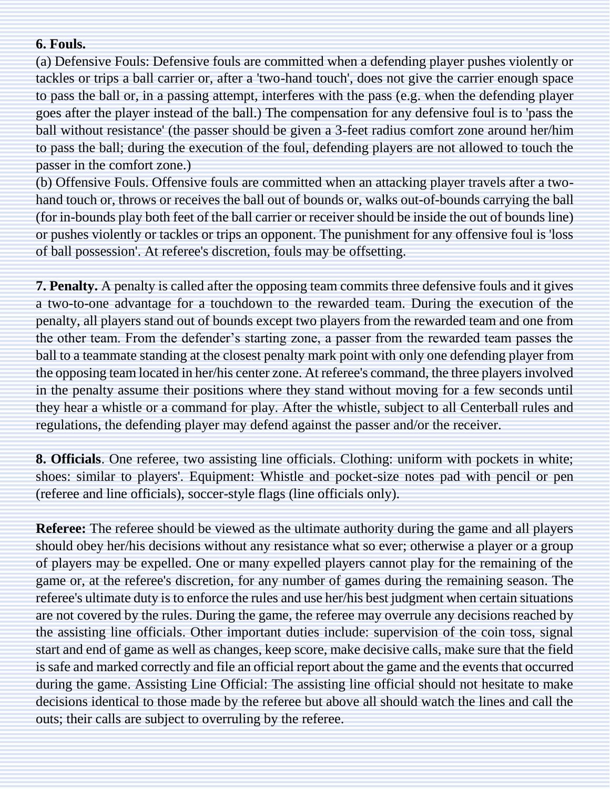## **6. Fouls.**

(a) Defensive Fouls: Defensive fouls are committed when a defending player pushes violently or tackles or trips a ball carrier or, after a 'two-hand touch', does not give the carrier enough space to pass the ball or, in a passing attempt, interferes with the pass (e.g. when the defending player goes after the player instead of the ball.) The compensation for any defensive foul is to 'pass the ball without resistance' (the passer should be given a 3-feet radius comfort zone around her/him to pass the ball; during the execution of the foul, defending players are not allowed to touch the passer in the comfort zone.)

(b) Offensive Fouls. Offensive fouls are committed when an attacking player travels after a twohand touch or, throws or receives the ball out of bounds or, walks out-of-bounds carrying the ball (for in-bounds play both feet of the ball carrier or receiver should be inside the out of bounds line) or pushes violently or tackles or trips an opponent. The punishment for any offensive foul is 'loss of ball possession'. At referee's discretion, fouls may be offsetting.

**7. Penalty.** A penalty is called after the opposing team commits three defensive fouls and it gives a two-to-one advantage for a touchdown to the rewarded team. During the execution of the penalty, all players stand out of bounds except two players from the rewarded team and one from the other team. From the defender's starting zone, a passer from the rewarded team passes the ball to a teammate standing at the closest penalty mark point with only one defending player from the opposing team located in her/his center zone. At referee's command, the three players involved in the penalty assume their positions where they stand without moving for a few seconds until they hear a whistle or a command for play. After the whistle, subject to all Centerball rules and regulations, the defending player may defend against the passer and/or the receiver.

**8. Officials**. One referee, two assisting line officials. Clothing: uniform with pockets in white; shoes: similar to players'. Equipment: Whistle and pocket-size notes pad with pencil or pen (referee and line officials), soccer-style flags (line officials only).

**Referee:** The referee should be viewed as the ultimate authority during the game and all players should obey her/his decisions without any resistance what so ever; otherwise a player or a group of players may be expelled. One or many expelled players cannot play for the remaining of the game or, at the referee's discretion, for any number of games during the remaining season. The referee's ultimate duty is to enforce the rules and use her/his best judgment when certain situations are not covered by the rules. During the game, the referee may overrule any decisions reached by the assisting line officials. Other important duties include: supervision of the coin toss, signal start and end of game as well as changes, keep score, make decisive calls, make sure that the field is safe and marked correctly and file an official report about the game and the events that occurred during the game. Assisting Line Official: The assisting line official should not hesitate to make decisions identical to those made by the referee but above all should watch the lines and call the outs; their calls are subject to overruling by the referee.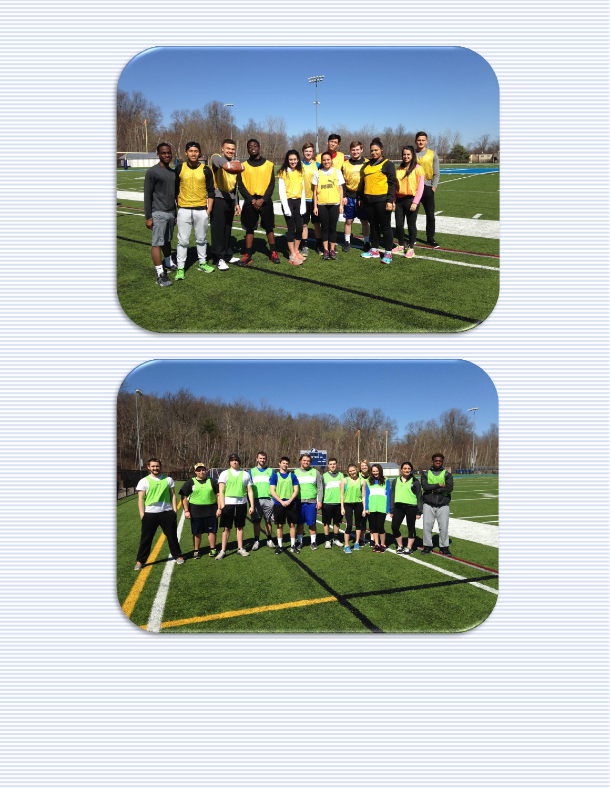